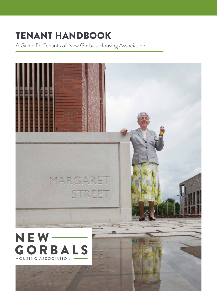# TENANT HANDBOOK

A Guide for Tenants of New Gorbals Housing Association.

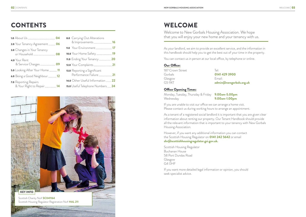# CONTENTS WELCOME

Welcome to New Gorbals Housing Association. We hope that you will enjoy your new home and your tenancy with us.

As your landlord, we aim to provide an excellent service, and the information in this handbook should help you to get the best out of your time in the property. You can contact us in person at our local office, by telephone or online.

#### Our Office:

| 187 Crown Street | $\lceil \varphi \rceil$ |
|------------------|-------------------------|
| Gorbals          | 0141 429 3900           |
| Glasgow          | Email:                  |
| G5 9XT           | admin@newgor            |

G5 9XT **admin@newgorbals.org.uk**

#### Office Opening Times:

Monday, Tuesday, Thursday & Friday **9.00am-5.00pm** Wednesday **9.00am-1.00pm**

If you are unable to visit our office we can arrange a home visit. Please contact us during working hours to arrange an appointment.

As a tenant of a registered social landlord it is important that you are given clear information about renting our property. Our Tenant Handbook should provide all the relevant information that is important to your tenancy with New Gorbals Housing Association.

However, if you want any additional information you can contact the Scottish Housing Regulator on **0141 242 5642** or email **shr@scottishhousingregulator.gsi.gov.uk.**

Scottish Housing Regulator Buchanan House 58 Port Dundas Road Glasgow G4 0HF

If you want more detailed legal information or opinion, you should seek specialist advice.



| 2.0 Your Tenancy Agreement  06                             |  |
|------------------------------------------------------------|--|
| <b>3.0</b> Changes in Your Tenancy                         |  |
| 4.0 Your Rent                                              |  |
| 5.0 Looking After Your Home 11                             |  |
| 6.0 Being a Good Neighbour  12                             |  |
| <b>7.0</b> Reporting Repairs<br>& Your Right to Repair  14 |  |

| 8.0 Carrying Out Alterations                                   |  |
|----------------------------------------------------------------|--|
|                                                                |  |
|                                                                |  |
| 11.0 Ending Your Tenancy  20                                   |  |
|                                                                |  |
| <b>13.0</b> Reporting a Significant<br>Performance Failure  21 |  |
| 14.0 Other Useful Information  22                              |  |
| 15.0 Useful Telephone Numbers  24                              |  |
|                                                                |  |

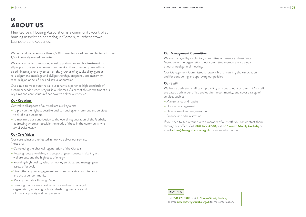# 1.0 ABOUT US

New Gorbals Housing Association is a community-controlled housing association operating in Gorbals, Hutchesontown, Laurieston and Oatlands.

We own and manage more than 2,500 homes for social rent and factor a further 1,600 privately owned properties.

We are committed to ensuring equal opportunities and fair treatment for all people in our service provision and work in the community. We will not discriminate against any person on the grounds of age, disability, gender re-assignment, marriage and civil partnership, pregnancy and maternity, race, religion or belief, sex and sexual orientation.

Our aim is to make sure that all our tenants experience high standards of customer service when staying in our homes. As part of this commitment our key aims and core values reflect how we deliver our service.

### Our Key Aims

Central to all aspects of our work are our key aims:

- **–** To provide the highest possible quality housing, environment and services to all of our customers
- **–** To maximise our contribution to the overall regeneration of the Gorbals, addressing wherever possible the needs of those in the community who are disadvantaged.

### Our Core Values

Our core values are reflected in how we deliver our service. These are:

- **–** Completing the physical regeneration of the Gorbals
- **–** Keeping rents affordable, and supporting our tenants in dealing with welfare cuts and the high cost of energy
- **–** Providing high quality, value for money services, and managing our assets effectively
- **–** Strengthening our engagement and communication with tenants and the wider community
- **–** Making Gorbals a Thriving Place
- **–** Ensuring that we are a cost-effective and well-managed organisation, achieving high standards of governance and of financial probity and competence.

#### Our Management Committee

We are managed by a voluntary committee of tenants and residents. Members of the organisation elect committee members once a year at our annual general meeting.

Our Management Committee is responsible for running the Association and for considering and approving our policies.

### **Our Staff**

We have a dedicated staff team providing services to our customers. Our staff are based both in our office and out in the community, and cover a range of services such as:

- **–** Maintenance and repairs
- **–** Housing management
- **–** Development and regeneration
- **–** Finance and administration

If you need to get in touch with a member of our staff, you can contact them through our office. Call **0141 429 3900,** visit **187 Crown Street, Gorbals,** or email **admin@newgorbalsha.org.uk** for more information.

Call **0141 429 3900,** visit **187 Crown Street, Gorbals,** or email **admin@newgorbalsha.org.uk** for more information.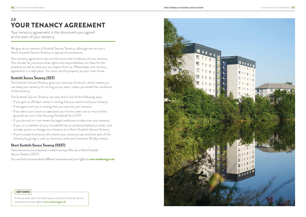#### **NEW GORBALS HOUSING ASSOCIATION**

# 2.0 YOUR TENANCY AGREEMENT

Your tenancy agreement is the document you signed at the start of your tenancy.

We give all our tenants a Scottish Secure Tenancy, although we can use a Short Scottish Secure Tenancy in special circumstances.

Your tenancy agreement sets out the terms and conditions of your tenancy. This will also let you know what rights and responsibilities you have for the property as well as what you can expect from us. Please keep your tenancy agreement in a safe place. You must use the property as your main home.

### Scottish Secure Tenancy (SST)

The Scottish Secure Tenancy gives you 'security of tenure', which means you can keep your tenancy for as long as you want, unless you break the conditions of the tenancy.

The Scottish Secure Tenancy can only end in one of the following ways:

- **–** If you give us 28 days' notice in writing that you want to end your tenancy
- **–** If we agree with you in writing that you can end your tenancy
- **–** If we take court action to take back your home under one or more of the grounds set out in the Housing (Scotland) Act 2001
- **–** If you die and no-one meets the legal conditions to take over your tenancy
- **–** If you, or a member of your household has an antisocial behaviour order, and we take action to change your tenancy to a Short Scottish Secure Tenancy
- **–** A joint tenant (someone who shares your tenancy) can end their part of the tenancy by giving us and you (and any other joint tenants) 28 days notice.

### Short Scottish Secure Tenancy (SSST)

There are some circumstances in which we may offer you a Short Scottish Secure Tenancy (SSST).

You can find out more about different tenancies and your rights at **www.scotland.gov.uk**

Find out more about Scottish secure and short Scottish secure tenancies and your rights **www.scotland.gov.uk**

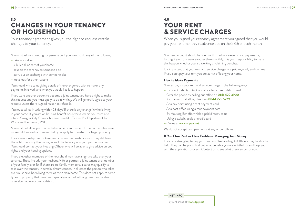# 3.0 CHANGES IN YOUR TENANCY OR HOUSEHOLD

Your tenancy agreement gives you the right to request certain changes to your tenancy.

You must ask us in writing for permission if you want to do any of the following:

- **–** take in a lodger
- **–** sub-let all or part of your home
- **–** pass on the tenancy to someone else
- **–** carry out an exchange with someone else
- **–** move out for other reasons.

You should write to us giving details of the change you wish to make, any payments involved, and when you would like it to happen.

If you want another person to become a joint tenant, you have a right to make this request and you must apply to us in writing. We will generally agree to your request unless there is good reason to refuse it.

You must tell us in writing within 28 days' if there is any change in who is living in your home. If you are on housing benefit or universal credit, you must also inform Glasgow City Council housing benefit office and/or Department for Works and Pensions (DWP).

You must not allow your house to become overcrowded. If this happens because more children are born, we will help you apply for transfer to a larger property.

Your rent account should be one month in advance even if you pay weekly, fortnightly or four weekly rather than monthly. It is your responsibility to make this happen whether you are working or claiming benefits.

If your relationship has broken down in some circumstances you may still have the right to occupy the house, even if the tenancy is in your partner's name. You should contact your Housing Officer who will be able to give advice on your rights and your housing options.

If you die, other members of the household may have a right to take over your tenancy. These include your husband/wife or partner, a joint tenant or a member of your family over 16. If there are no family members, a carer may qualify to take over the tenancy in certain circumstances. In all cases the person who takes over must have been living there as their main home. This does not apply to some types of property that have been specially adapted, although we may be able to offer alternative accommodation.

# 4.0 YOUR RENT & SERVICE CHARGES

When you signed your tenancy agreement you agreed that you would pay your rent monthly in advance due on the 28th of each month.

It is important that your rent and service charges are paid regularly and on time. If you don't pay your rent you are at risk of losing your home.

## How to Make Payments

You can pay us your rent and service charge in the following ways:

- **–** By direct debit (contact our office for a direct debit form)
- **–** Over the phone by calling our office on **0141 429 3900** You can also call allpay direct on **0844 225 5729**
- **–** At a pay point using a rent payment card
- **–** At a post office using a rent payment card
- **–** By Housing Benefit, which is paid directly to us
- **–** Using a switch, debit or credit card
- **–** Online at **www.allpay.net**

We do not accept cash payments at any of our offices.

### If You Owe Rent or Have Problems Managing Your Money

If you are struggling to pay your rent, our Welfare Rights Officers may be able to help. They can help you find out what benefits you are entitled to, and help you with the application process. Contact us to see what they can do for you.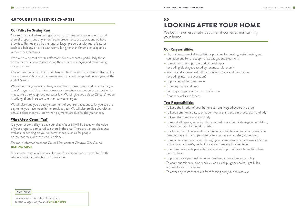### 4.0 YOUR RENT & SERVICE CHARGES

#### **Our Policy for Setting Rent**

Our rents are calculated using a formula that takes account of the size and type of property and any amenities, improvements or adaptations we have provided. This means that the rent for larger properties with more features, such as a balcony or extra bathrooms, is higher than for smaller properties without these features.

We aim to keep rent charges affordable for our tenants, particularly those on low incomes, while also covering the costs of managing and maintaining our properties.

Our rents are reviewed each year, taking into account our costs and affordability for our tenants. Any rent increase agreed upon will be applied once a year, at the end of March.

We both have responsibilities when it comes to maintaining your home.

We will consult you on any changes we plan to make to rent and service charges. The Management Committee take your views into account before a decision is made. We try to keep rent increases low. We will give you at least 28 days' notice in writing of any increase to rent or service charges.

We will also send you a yearly statement of your rent account to let you see the payments you have made in the previous year. We will also provide you with an annual calendar so you know when payments are due for the year ahead.

#### What About Council Tax?

It is your responsibility to pay council tax. Your bill will be based on the value of your property compared to others in the area. There are various discounts available depending on your circumstances, such as for people on low incomes, or those who live alone.

For more information about Council Tax, contact Glasgow City Council **0141 287 5050.**

Please note that New Gorbals Housing Association is not responsible for the administration or collection of Council Tax.

# 5.0 LOOKING AFTER YOUR HOME

#### Our Responsibilities

- **–** The maintenance of all installations provided for heating, water heating and sanitation and for the supply of water, gas and electricity
- **–** To maintain drains, gutters and external pipes (excluding blockages caused by tenant carelessness)
- **–** Internal and external walls, floors, ceilings, doors and doorframes (excluding internal decoration)
- **–** To provide buildings insurance
- **–** Chimneystacks and flues
- **–** Pathways, steps or other means of access
- **–** Boundary walls and fences.

#### Your Responsibilities

- **–** To keep the interior of your home clean and in good decorative order
- **–** To keep common areas, such as communal stairs and bin sheds, clean and tidy
- **–** To keep the common grounds tidy
- **–** To report all repairs, including those caused by accidental damage or vandalism, to New Gorbals Housing Association
- **–** To allow our employees and our approved contractors access at all reasonable times to inspect the property and carry out repairs or safety inspections
- **–** To repair any items damaged through your, a member of your household's or a visitor to your home's, neglect or carelessness e.g. blocked toilet
- **–** To ensure reasonable precautions are taken to protect your home from fire, flood or frost
- **–** To protect your personal belongings with a contents insurance policy
- **–** To carry out minor routine repairs such as sink plugs or chains, light bulbs, and smoke alarm batteries
- **–** To cover any costs that result from forcing entry due to lost keys.

For more information about Council Tax, contact Glasgow City Council **0141 287 5050**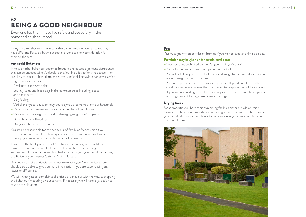## 6.0 BEING A GOOD NEIGHBOUR

Everyone has the right to live safely and peacefully in their home and neighbourhood.

Living close to other residents means that some noise is unavoidable. You may have different lifestyles, but we expect everyone to show consideration for their neighbours.

#### Antisocial Behaviour

If noise or other behaviour becomes frequent and causes significant disturbance, this can be unacceptable. Antisocial behaviour includes actions that cause — or are likely to cause — fear, alarm or distress. Antisocial behaviour can cover a wide range of issues, such as:

- **–** Persistent, excessive noise
- **–** Leaving items and black bags in the common areas including closes and backcourts
- **–** Dog fouling
- **–** Verbal or physical abuse of neighbours by you or a member of your household
- **–** Racial or sexual harassment by you or a member of your household
- **–** Vandalism in the neighbourhood or damaging neighbours' property
- **–** Drug abuse or selling drugs
- **–** Using your home for a business.

Your local council's antisocial behaviour team, Glasgow Community Safety, should also be able to give you more information if you are experiencing any issues or difficulties.

You are also responsible for the behaviour of family or friends visiting your property and we may take action against you if you have broken a clause in the tenancy agreement which refers to antisocial behaviour.

If you are affected by other people's antisocial behaviour, you should keep a written record of the incidents, with dates and times. Depending on the seriousness of the situation and how badly it affects you, you should contact us, the Police or your nearest Citizens Advice Bureau.

We will investigate all complaints of antisocial behaviour with the view to stopping the behaviour impacting on our tenants. If necessary we will take legal action to resolve the situation.

### Pets

You must get written permission from us if you wish to keep an animal as a pet.

#### **Permission may be given under certain conditions:**

- **–** Your pet is not prohibited by the Dangerous Dogs Act 1991
- **–** You will supervise and keep your pet under control
- **–** You will not allow your pet to foul or cause damage to the property, common areas or neighbouring properties
- **–** You are responsible for the behaviour of your pet. If you do not keep to the conditions as detailed above, then permission to keep your pet will be withdrawn
- **–** If you live in a building higher than 5 storeys you are not allowed to keep cats and dogs, except for registered assistance dogs.

### Drying Areas

Most properties will have their own drying facilities either outside or inside. However, in tenement properties most drying areas are shared. In these cases, you should talk to your neighbours to make sure everyone has enough space to dry their clothes.

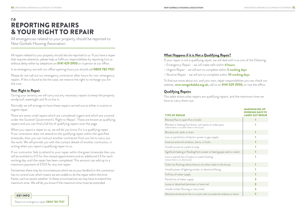# 7.0 REPORTING REPAIRS & YOUR RIGHT TO REPAIR

All emergencies related to your property should be reported to New Gorbals Housing Association.

All repairs related to your property should also be reported to us. If you have a repair that requires attention, please help us fulfil our responsibilities by reporting it to us without delay either by telephone on **0141 429 3900** or in person at our office.

In an emergency out with our office opening hours you should call **0800 783 7937.**

Please do not call out our emergency contractor after hours for non-emergency repairs. If this is found to be the case, we reserve the right to recharge you for the cost.

### Your Right to Repair

When you report a repair to us, we will let you know if it is a qualifying repair. If our contractor does not attend to the qualifying repair within the specified timescale, then you can instruct another contractor from our list to carry out the work. We will provide you with the contact details of another contractor, in writing when you report a qualifying repair to us.

During your tenancy we will carry out any necessary repairs to keep the property windproof, watertight and fit to live in.

Normally we will arrange to have these repairs carried out as either a routine or urgent repair.

There are some small repairs which are considered urgent and which are covered under the Scottish Government's 'Right to Repair'. These are known as qualifying repairs and you can find a full list of qualifying repairs over the page.

Blocked flue to open fire or boiler 1 Blocked or leaking foul drains, soil stacks or toilet pans (where there is no other toilet in the house) Blocked sink, bath or drain 1 Loss or partial loss of electric power or gas supply 1 Insecure external windows, doors, or locks 1 Unsafe access to a path or step Significant leaking or flooding from a water or heating pipe, tank or Loss or partial loss of space or water heating (where there is no alternative) Toilet not flushing where there is no other toilet in the house Unsafe power of lighting socket, or electrical fitting 1 Full loss of water supply 1 Partial loss of water supply Loose or detached bannister or hand rail Unsafe timber flooring or stair tread Mechanical extractor fan in a room with no external windows or

- 
- 

If our contractor fails to attend to your repair within the given timescale then you will be entitled to £15 for the missed appointment and an additional £3 for each working day until the repair has been completed. This amount can add up to a maximum payment of £100 for any one repair.

Sometimes there may be circumstances which we as your landlord or the contractor has no control over which means we are unable to do the repair within the time frame, such as severe weather. In these circumstances we may have to extend the maximum time. We will let you know if the maximum time must be extended.

### What Happens if it is Not a Qualifying Repair?

If your repair is not a qualifying repair, we will deal with it as one of the following:

- **–** Emergency Repair we will make safe within **4 hours**
- **–** Urgent Repair we will aim to complete within **3 working days**
- **–** Routine Repair we will aim to complete within **10 working days.**

To find out more about our, and your own, repair responsibilities you can check our website, **www.newgorbalsha.org.uk,** call us on **0141 429 3900,** or visit the office.

### Qualifying Repairs

This table shows what repairs are qualifying repairs, and the maximum time we have to carry them out.

#### TYPE OF REPAIR

|           | <b>MAXIMUM NO. OF</b><br><b>WORKING DAYS TO</b><br><b>CARRY OUT REPAIR</b> |
|-----------|----------------------------------------------------------------------------|
|           | 1                                                                          |
|           | 1                                                                          |
|           | 1                                                                          |
|           | 1                                                                          |
|           | 1                                                                          |
|           | 1                                                                          |
| r cistern | 1                                                                          |
|           | 1                                                                          |
|           | 1                                                                          |
|           | 1                                                                          |
|           | 1                                                                          |
|           | 3                                                                          |
|           | 3                                                                          |
|           | 3                                                                          |
| r doors   | $\overline{z}$                                                             |

Report an emergency repair **0800 783 7937**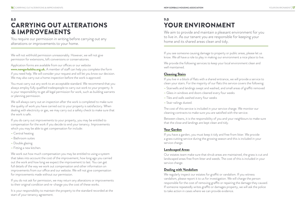# 8.0 CARRYING OUT ALTERATIONS & IMPROVEMENTS

You require our permission in writing before carrying out any alterations or improvements to your home.

We will not withhold permission unreasonably. However, we will not give permission for extensions, loft conversions or conservatories.

Application forms are available from our offices or our website **www.newgorbalsha.org.uk.** A member of staff can help you complete the form if you need help. We will consider your request and will let you know our decision. We may also carry out a home inspection before the work is approved.

You must carry out any work to an acceptable standard. We recommend that you always employ fully qualified tradespeople to carry out work to your property. It is your responsibility to get all legal permission for work, such as building warrants or planning permission.

We work out how much compensation you may be entitled to using a system that takes into account the cost of the improvement, how long ago you carried out the work and how long we expect the improvement to last. You can get full details of the way we work out compensation and other information on improvements from our office and our website. We will not give compensation for improvements made without our permission.

We will always carry out an inspection after the work is completed to make sure the quality of work you have carried out to your property is satisfactory. When dealing with electricity or gas, we may carry out a safety check to make sure that the work is safe.

It is your responsibility to maintain the property to the standard recorded at the start of your tenancy agreement.

If you do carry out improvements to your property, you may be entitled to compensation for the work if you decide to end your tenancy. Improvements which you may be able to get compensation for include:

- **–** Central heating
- **–** Bathroom suites
- **–** Double glazing
- **–** Fitting a new kitchen.

If you do not ask for permission, we may return any alterations or improvements to their original condition and re-charge you the cost of these works.

We regularly inspect our estates for graffiti or vandalism. If you witness vandalism, please report it to us for investigation. We will charge the person responsible for the cost of removing graffiti or repairing the damage they caused. If someone repeatedly writes graffiti or damages property, we will ask the police to take action in cases where we can provide evidence.

# 9.0 YOUR ENVIRONMENT

We aim to provide and maintain a pleasant environment for you to live in. As our tenant you are responsible for keeping your home and its shared areas clean and tidy.

If you see someone causing damage to property or public areas, please let us know. We all have a role to play in making our environment a nice place to live.

We provide the following services to keep your local environment clean and well maintained.

## Cleaning Stairs

If you live in a block of flats with a shared entrance, we will provide a service to clean your stairs. For the majority of our flats this service covers the following:

- **–** Stairwells and landings swept and washed, and small areas of graffiti removed
- **–** Glass in windows and doors cleaned every four weeks
- **–** Tiles and walls washed every four weeks
- **–** Stair railings dusted.

The cost of this service is included in your service charge. We monitor our cleaning contracts to make sure you are satisfied with the service.

Between cleans, it is the responsibility of you and your neighbours to make sure that the close and landings are kept clean and tidy.

### Your Garden

If you have a garden, you must keep it tidy and free from litter. We provide a grass cutting service during the growing season and this is included in your service charge.

### Landscaped Areas

Our estates team make sure that shrub areas are maintained, the grass is cut and landscaped areas free from litter and weeds. The cost of this is included in your service charge.

### Dealing with Vandalism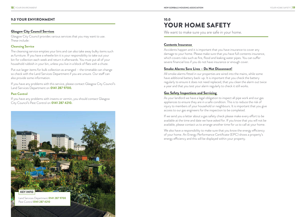### 9.0 YOUR ENVIRONMENT

#### Glasgow City Council Services

Glasgow City Council provides various services that you may want to use. These include:

#### **Cleansing Service**

The cleansing service empties your bins and can also take away bulky items such as furniture. If you have a wheelie bin it is your responsibility to take out your bin for collection each week and return it afterwards. You must put all of your household rubbish in your bin, unless you live in a block of flats with a chute.

# 10.0 YOUR HOME SAFETY

We want to make sure you are safe in your home.

Put out larger items for bulk collection as arranged – the timetable can change so check with the Land Services Department if you are unsure. Our staff can also provide some information.

If you have any problems with this service, please contact Glasgow City Council's Land Services Department on **0141 287 9700.**

#### **Pest Control**

If you have any problems with insects or vermin, you should contact Glasgow City Council's Pest Control on **0141 287 4210.**

#### Contents Insurance

Accidents happen and it is important that you have insurance to cover any damage to your home. Please make sure that you have full contents insurance, which covers risks such as fire, flood and leaking water pipes. You can suffer severe financial loss if you do not have insurance or enough cover.

#### Smoke Alarms Save Lives – Do Not Disconnect!

All smoke alarms fitted in our properties are wired into the mains, while some have additional battery back-up. It is important that you check the battery regularly to ensure it does not need replaced, that you clean the alarm out twice a year and that you test your alarm regularly to check it still works.

### Gas Safety Inspections and Servicing

As your landlord we have a legal obligation to inspect all pipe work and our gas appliances to ensure they are in a safe condition. This is to reduce the risk of injury to members of your household or neighbours. It is important that you give access to our gas engineers for the inspection to be completed.

If we send you a letter about a gas safety check please make every effort to be available at the time and date we have asked for. If you know that you will not be available, please contact us to arrange another time for us to call at your home.

We also have a responsibility to make sure that you know the energy efficiency of your home. An Energy Performance Certificate (EPC) shows a property's energy efficiency and this will be displayed within your property.

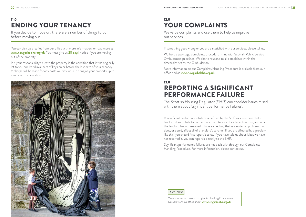# 11.0 ENDING YOUR TENANCY

If you decide to move on, there are a number of things to do before moving out.

You can pick up a leaflet from our office with more information, or read more at **www.newgorbalsha.org.uk.** You must give us **28 days'** notice if you are moving out of the property.

It is your responsibility to leave the property in the condition that it was originally let to you and hand in all sets of keys on or before the last date of your tenancy. A charge will be made for any costs we may incur in bringing your property up to a satisfactory condition.



We value complaints and use them to help us improve our services.

# 12.0 YOUR COMPLAINTS

If something goes wrong or you are dissatisfied with our services, please tell us.

We have a two stage complaints procedure in line with Scottish Public Service Ombudsman guidelines. We aim to respond to all complaints within the timescales set by the Ombudsman.

More information on our Complaints Handling Procedure is available from our office and at **www.newgorbalsha.org.uk.**

# 13.0 REPORTING A SIGNIFICANT PERFORMANCE FAILURE

The Scottish Housing Regulator (SHR) can consider issues raised with them about 'significant performance failures'.

A significant performance failure is defined by the SHR as something that a landlord does or fails to do that puts the interests of its tenants at risk, and which the landlord has not resolved. This is something that is a systemic problem that does, or could, affect all of a landlord's tenants. If you are affected by a problem like this, you should first report it to us. If you have told us about it but we have not resolved it, you can report it directly to the SHR.

Significant performance failures are not dealt with through our Complaints Handling Procedure. For more information, please contact us.

More information on our Complaints Handling Procedure is available from our office and at **www.newgorbalsha.org.uk.**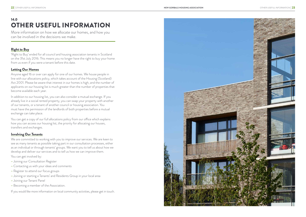# 14.0 OTHER USEFUL INFORMATION

More information on how we allocate our homes, and how you can be involved in the decisions we make.

## Right to Buy

'Right to Buy' ended for all council and housing association tenants in Scotland on the 31st July 2016. This means you no longer have the right to buy your home from us even if you were a tenant before this date.

### Letting Our Homes

Anyone aged 16 or over can apply for one of our homes. We house people in line with our allocations policy, which takes account of the Housing (Scotland) Act 2001. Please be aware that interest in our homes is high, and the number of applicants on our housing list is much greater than the number of properties that become available each year.

In addition to our housing list, you can also consider a mutual exchange. If you already live in a social rented property, you can swap your property with another of our tenants, or a tenant of another council or housing association. You must have the permission of the landlords of both properties before a mutual exchange can take place.

You can get a copy of our full allocations policy from our office which explains how you can access our housing list, the priority for allocating our houses, transfers and exchanges.

### Involving Our Tenants

We are committed to working with you to improve our services. We are keen to see as many tenants as possible taking part in our consultation processes, either as an individual or through tenants' groups. We want you to tell us about how we develop and deliver our services and to tell us how we can improve them.

You can get involved by:

- **–** Joining our Consultation Register
- **–** Contacting us with your ideas and comments
- **–** Register to attend our focus groups
- **–** Joining or starting a Tenants' and Residents Group in your local area
- **–** Joining our Tenant Panel
- **–** Becoming a member of the Association.

If you would like more information on local community activities, please get in touch.